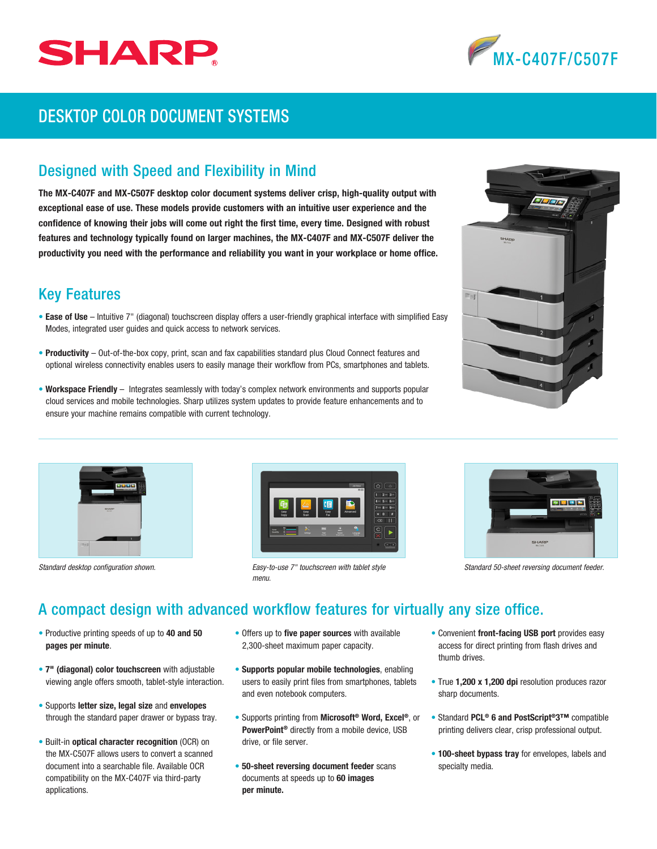



# DESKTOP COLOR DOCUMENT SYSTEMS

## Designed with Speed and Flexibility in Mind

The MX-C407F and MX-C507F desktop color document systems deliver crisp, high-quality output with exceptional ease of use. These models provide customers with an intuitive user experience and the confidence of knowing their jobs will come out right the first time, every time. Designed with robust features and technology typically found on larger machines, the MX-C407F and MX-C507F deliver the productivity you need with the performance and reliability you want in your workplace or home office.

## Key Features

- Ease of Use Intuitive 7" (diagonal) touchscreen display offers a user-friendly graphical interface with simplified Easy Modes, integrated user guides and quick access to network services.
- Productivity Out-of-the-box copy, print, scan and fax capabilities standard plus Cloud Connect features and optional wireless connectivity enables users to easily manage their workflow from PCs, smartphones and tablets.
- Workspace Friendly Integrates seamlessly with today's complex network environments and supports popular cloud services and mobile technologies. Sharp utilizes system updates to provide feature enhancements and to ensure your machine remains compatible with current technology.







*Standard desktop configuration shown. Easy-to-use 7" touchscreen with tablet style Standard 50-sheet reversing document feeder. menu.*



# A compact design with advanced workflow features for virtually any size office.

- Productive printing speeds of up to 40 and 50 pages per minute.
- 7" (diagonal) color touchscreen with adjustable viewing angle offers smooth, tablet-style interaction.
- Supports letter size, legal size and envelopes through the standard paper drawer or bypass tray.
- Built-in optical character recognition (OCR) on the MX-C507F allows users to convert a scanned document into a searchable file. Available OCR compatibility on the MX-C407F via third-party applications.
- Offers up to five paper sources with available 2,300-sheet maximum paper capacity.
- Supports popular mobile technologies, enabling users to easily print files from smartphones, tablets and even notebook computers.
- Supports printing from Microsoft® Word, Excel®, or PowerPoint® directly from a mobile device, USB drive, or file server.
- 50-sheet reversing document feeder scans documents at speeds up to 60 images per minute.
- Convenient front-facing USB port provides easy access for direct printing from flash drives and thumb drives.
- True 1,200 x 1,200 dpi resolution produces razor sharp documents.
- Standard PCL® 6 and PostScript®3™ compatible printing delivers clear, crisp professional output.
- 100-sheet bypass tray for envelopes, labels and specialty media.